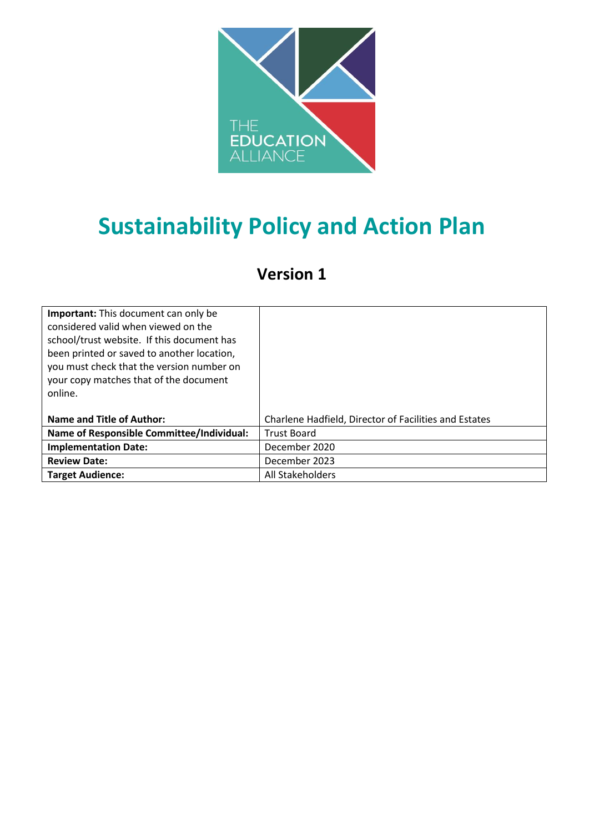

# **Sustainability Policy and Action Plan**

# **Version 1**

| <b>Important:</b> This document can only be<br>considered valid when viewed on the<br>school/trust website. If this document has<br>been printed or saved to another location,<br>you must check that the version number on<br>your copy matches that of the document<br>online. |                                                       |
|----------------------------------------------------------------------------------------------------------------------------------------------------------------------------------------------------------------------------------------------------------------------------------|-------------------------------------------------------|
| <b>Name and Title of Author:</b>                                                                                                                                                                                                                                                 | Charlene Hadfield, Director of Facilities and Estates |
| Name of Responsible Committee/Individual:                                                                                                                                                                                                                                        | <b>Trust Board</b>                                    |
| <b>Implementation Date:</b>                                                                                                                                                                                                                                                      | December 2020                                         |
| <b>Review Date:</b>                                                                                                                                                                                                                                                              | December 2023                                         |
| <b>Target Audience:</b>                                                                                                                                                                                                                                                          | All Stakeholders                                      |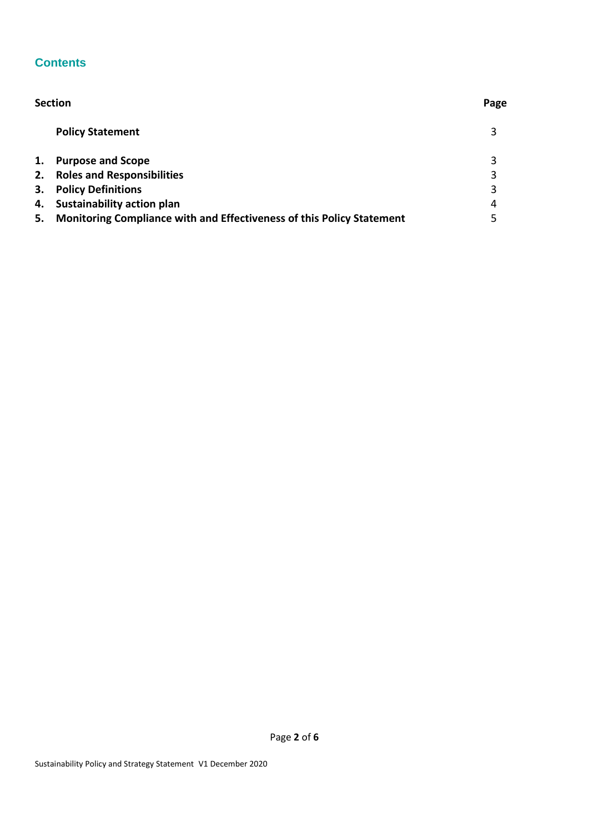### **Contents**

|    | <b>Section</b>                                                        |   |  |
|----|-----------------------------------------------------------------------|---|--|
|    | <b>Policy Statement</b>                                               | 3 |  |
| 1. | <b>Purpose and Scope</b>                                              | 3 |  |
| 2. | <b>Roles and Responsibilities</b>                                     | 3 |  |
| 3. | <b>Policy Definitions</b>                                             | 3 |  |
| 4. | <b>Sustainability action plan</b>                                     | 4 |  |
| 5. | Monitoring Compliance with and Effectiveness of this Policy Statement | 5 |  |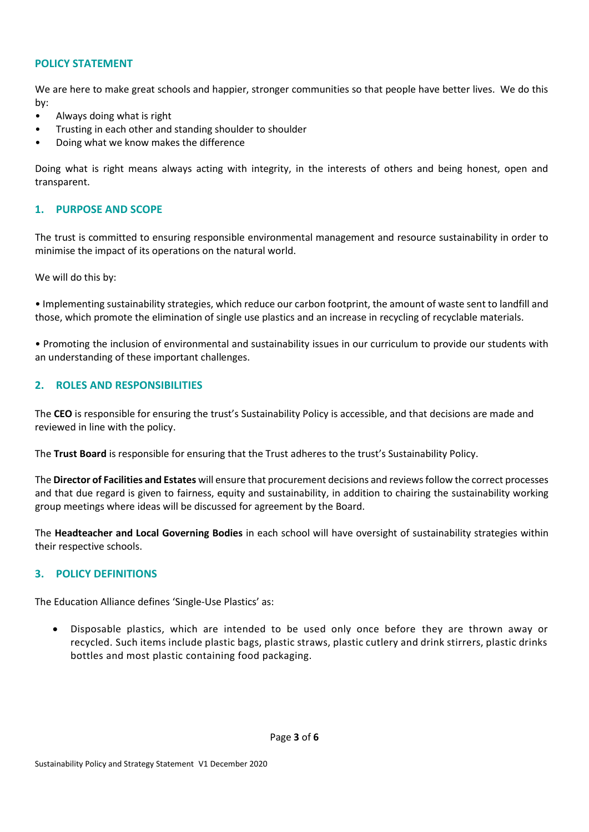#### **POLICY STATEMENT**

We are here to make great schools and happier, stronger communities so that people have better lives. We do this by:

- Always doing what is right
- Trusting in each other and standing shoulder to shoulder
- Doing what we know makes the difference

Doing what is right means always acting with integrity, in the interests of others and being honest, open and transparent.

#### **1. PURPOSE AND SCOPE**

The trust is committed to ensuring responsible environmental management and resource sustainability in order to minimise the impact of its operations on the natural world.

We will do this by:

• Implementing sustainability strategies, which reduce our carbon footprint, the amount of waste sent to landfill and those, which promote the elimination of single use plastics and an increase in recycling of recyclable materials.

• Promoting the inclusion of environmental and sustainability issues in our curriculum to provide our students with an understanding of these important challenges.

#### **2. ROLES AND RESPONSIBILITIES**

The **CEO** is responsible for ensuring the trust's Sustainability Policy is accessible, and that decisions are made and reviewed in line with the policy.

The **Trust Board** is responsible for ensuring that the Trust adheres to the trust's Sustainability Policy.

The **Director of Facilities and Estates** will ensure that procurement decisions and reviewsfollow the correct processes and that due regard is given to fairness, equity and sustainability, in addition to chairing the sustainability working group meetings where ideas will be discussed for agreement by the Board.

The **Headteacher and Local Governing Bodies** in each school will have oversight of sustainability strategies within their respective schools.

#### **3. POLICY DEFINITIONS**

The Education Alliance defines 'Single-Use Plastics' as:

 Disposable plastics, which are intended to be used only once before they are thrown away or recycled. Such items include plastic bags, plastic straws, plastic cutlery and drink stirrers, plastic drinks bottles and most plastic containing food packaging.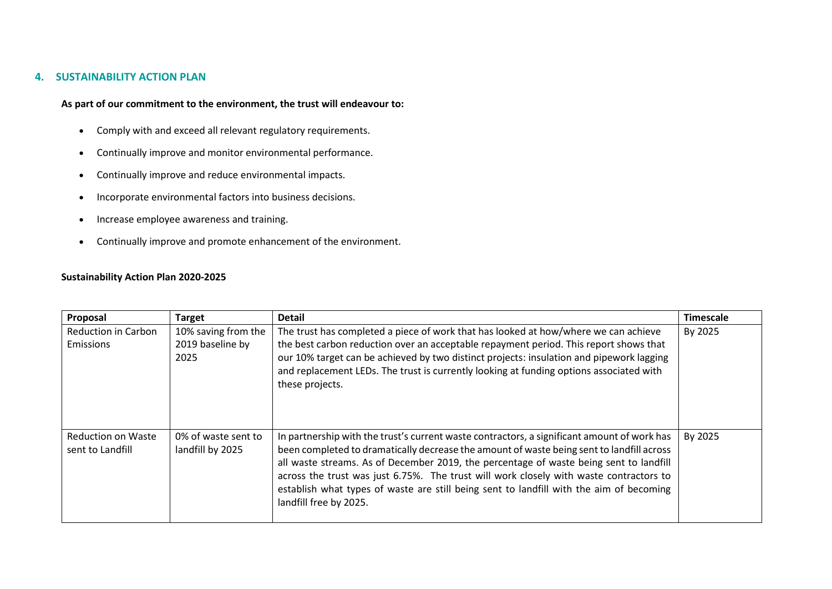#### **4. SUSTAINABILITY ACTION PLAN**

#### **As part of our commitment to the environment, the trust will endeavour to:**

- Comply with and exceed all relevant regulatory requirements.
- Continually improve and monitor environmental performance.
- Continually improve and reduce environmental impacts.
- Incorporate environmental factors into business decisions.
- Increase employee awareness and training.
- Continually improve and promote enhancement of the environment.

#### **Sustainability Action Plan 2020-2025**

| Proposal                                      | <b>Target</b>                                   | <b>Detail</b>                                                                                                                                                                                                                                                                                                                                                                                                                                                                                     | <b>Timescale</b> |
|-----------------------------------------------|-------------------------------------------------|---------------------------------------------------------------------------------------------------------------------------------------------------------------------------------------------------------------------------------------------------------------------------------------------------------------------------------------------------------------------------------------------------------------------------------------------------------------------------------------------------|------------------|
| <b>Reduction in Carbon</b><br>Emissions       | 10% saving from the<br>2019 baseline by<br>2025 | The trust has completed a piece of work that has looked at how/where we can achieve<br>the best carbon reduction over an acceptable repayment period. This report shows that<br>our 10% target can be achieved by two distinct projects: insulation and pipework lagging<br>and replacement LEDs. The trust is currently looking at funding options associated with<br>these projects.                                                                                                            | By 2025          |
| <b>Reduction on Waste</b><br>sent to Landfill | 0% of waste sent to<br>landfill by 2025         | In partnership with the trust's current waste contractors, a significant amount of work has<br>been completed to dramatically decrease the amount of waste being sent to landfill across<br>all waste streams. As of December 2019, the percentage of waste being sent to landfill<br>across the trust was just 6.75%. The trust will work closely with waste contractors to<br>establish what types of waste are still being sent to landfill with the aim of becoming<br>landfill free by 2025. | By 2025          |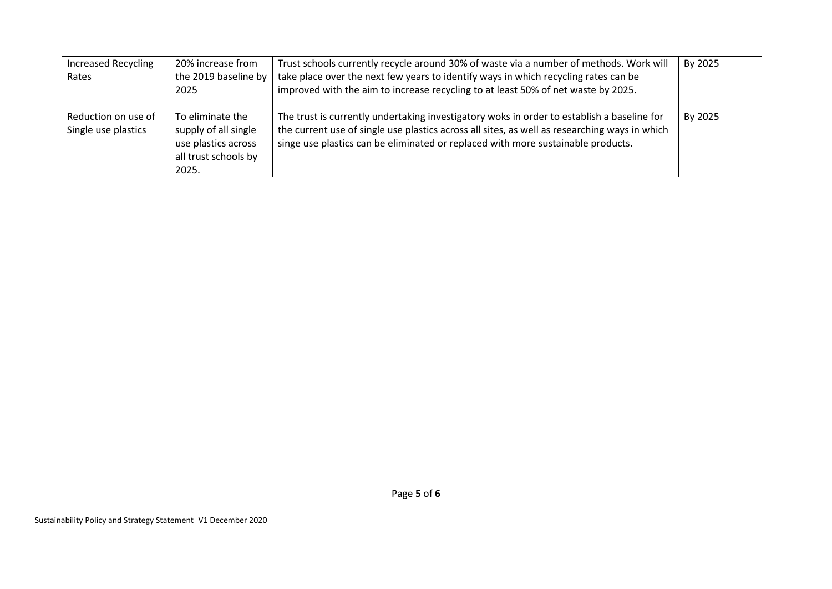| <b>Increased Recycling</b><br>Rates        | 20% increase from<br>the 2019 baseline by<br>2025                                                | Trust schools currently recycle around 30% of waste via a number of methods. Work will<br>take place over the next few years to identify ways in which recycling rates can be<br>improved with the aim to increase recycling to at least 50% of net waste by 2025.              | By 2025 |
|--------------------------------------------|--------------------------------------------------------------------------------------------------|---------------------------------------------------------------------------------------------------------------------------------------------------------------------------------------------------------------------------------------------------------------------------------|---------|
| Reduction on use of<br>Single use plastics | To eliminate the<br>supply of all single<br>use plastics across<br>all trust schools by<br>2025. | The trust is currently undertaking investigatory woks in order to establish a baseline for<br>the current use of single use plastics across all sites, as well as researching ways in which<br>singe use plastics can be eliminated or replaced with more sustainable products. | By 2025 |